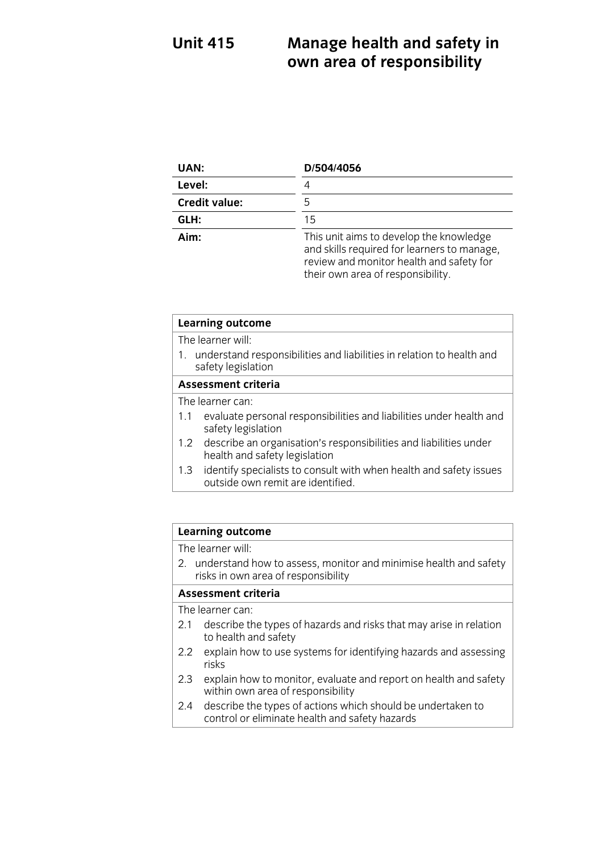### **Unit 415 EXECUTE:** A R AND A THE AND SOME THE SAFETY IN A R AND STRUCT AND SOMETIME AND SO THE SAFETY IN A R AND STRUCT AND SAFETY A SAFETY A SAFETY AND SAFETY A SAFETY AND SAFETY A SAFETY AND SAFETY A SAFETY AND SAFETY A SAFETY A **own area of responsibility in the set of responsibility in the set of responsibility in the set of responsibility in the set of responsibility in the set of responsibility in the set of responsibility in the set of respon**

| UAN:                 | D/504/4056                                                                                                                                                              |
|----------------------|-------------------------------------------------------------------------------------------------------------------------------------------------------------------------|
| Level:               |                                                                                                                                                                         |
| <b>Credit value:</b> | 5                                                                                                                                                                       |
| GLH:                 | 15                                                                                                                                                                      |
| Aim:                 | This unit aims to develop the knowledge<br>and skills required for learners to manage,<br>review and monitor health and safety for<br>their own area of responsibility. |

| <b>Learning outcome</b>                                                                                |                                                                     |  |
|--------------------------------------------------------------------------------------------------------|---------------------------------------------------------------------|--|
| The learner will:                                                                                      |                                                                     |  |
| understand responsibilities and liabilities in relation to health and<br>safety legislation            |                                                                     |  |
| <b>Assessment criteria</b>                                                                             |                                                                     |  |
| The learner can:                                                                                       |                                                                     |  |
| 1.1<br>safety legislation                                                                              | evaluate personal responsibilities and liabilities under health and |  |
| 1.2 describe an organisation's responsibilities and liabilities under<br>health and safety legislation |                                                                     |  |
| 1.3<br>outside own remit are identified.                                                               | identify specialists to consult with when health and safety issues  |  |

# **Learning outcome**<br>The learner will:

2. understand how to assess, monitor and minimise health and safety risks in own area of responsibility

#### Assessment criteria

The learner can:

- 2.1 describe the types of hazards and risks that may arise in relation to health and safety
- $\frac{1}{2}$ 2.2 explorer to use systems for identifying has a series of identifying hasards and assessing to the assessing o risks<br>explain how to monitor, evaluate and report on health and safety
- 2.3 explain how to monitor, evaluate<br>within own area of responsibility
- describe the types of actions which should be undertaken to  $\frac{1}{2}$  control or eliminate health and safety hazards control or eliminate health and safety hazards